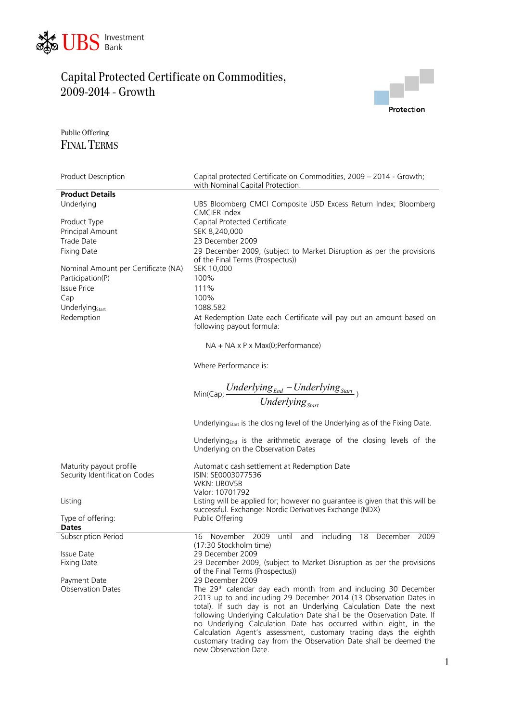



#### Public Offering FINAL TERMS

| Product Description                 | Capital protected Certificate on Commodities, 2009 – 2014 - Growth;<br>with Nominal Capital Protection.                 |
|-------------------------------------|-------------------------------------------------------------------------------------------------------------------------|
| <b>Product Details</b>              |                                                                                                                         |
| Underlying                          | UBS Bloomberg CMCI Composite USD Excess Return Index; Bloomberg<br><b>CMCIER Index</b>                                  |
| Product Type                        | Capital Protected Certificate                                                                                           |
| Principal Amount                    | SEK 8,240,000                                                                                                           |
|                                     |                                                                                                                         |
| Trade Date                          | 23 December 2009                                                                                                        |
| <b>Fixing Date</b>                  | 29 December 2009, (subject to Market Disruption as per the provisions                                                   |
|                                     | of the Final Terms (Prospectus))                                                                                        |
| Nominal Amount per Certificate (NA) | SEK 10,000                                                                                                              |
| Participation(P)                    | 100%                                                                                                                    |
| <b>Issue Price</b>                  | 111%                                                                                                                    |
| Cap                                 | 100%                                                                                                                    |
| Underlying <sub>Start</sub>         | 1088.582                                                                                                                |
|                                     |                                                                                                                         |
| Redemption                          | At Redemption Date each Certificate will pay out an amount based on<br>following payout formula:                        |
|                                     | $NA + NA \times P \times Max(O; Performance)$                                                                           |
|                                     | Where Performance is:                                                                                                   |
|                                     | Min(Cap; $\frac{Underlying_{End} - Underlying_{Start}}{Underlying_{Start}}$ )                                           |
|                                     |                                                                                                                         |
|                                     |                                                                                                                         |
|                                     | Underlying <sub>start</sub> is the closing level of the Underlying as of the Fixing Date.                               |
|                                     | Underlying <sub>End</sub> is the arithmetic average of the closing levels of the<br>Underlying on the Observation Dates |
| Maturity payout profile             | Automatic cash settlement at Redemption Date                                                                            |
| Security Identification Codes       | ISIN: SE0003077536                                                                                                      |
|                                     | WKN: UB0V5B                                                                                                             |
|                                     | Valor: 10701792                                                                                                         |
| Listing                             | Listing will be applied for; however no guarantee is given that this will be                                            |
|                                     | successful. Exchange: Nordic Derivatives Exchange (NDX)                                                                 |
| Type of offering:                   | Public Offering                                                                                                         |
| <b>Dates</b>                        |                                                                                                                         |
| <b>Subscription Period</b>          | November<br>2009<br>until<br>including<br>and<br>18<br>December<br>2009<br>16                                           |
|                                     | (17:30 Stockholm time)                                                                                                  |
| Issue Date                          | 29 December 2009                                                                                                        |
| Fixing Date                         | 29 December 2009, (subject to Market Disruption as per the provisions                                                   |
|                                     | of the Final Terms (Prospectus))                                                                                        |
| Payment Date                        | 29 December 2009                                                                                                        |
| <b>Observation Dates</b>            | The 29th calendar day each month from and including 30 December                                                         |
|                                     | 2013 up to and including 29 December 2014 (13 Observation Dates in                                                      |
|                                     | total). If such day is not an Underlying Calculation Date the next                                                      |
|                                     | following Underlying Calculation Date shall be the Observation Date. If                                                 |
|                                     | no Underlying Calculation Date has occurred within eight, in the                                                        |
|                                     | Calculation Agent's assessment, customary trading days the eighth                                                       |
|                                     | customary trading day from the Observation Date shall be deemed the                                                     |
|                                     | new Observation Date.                                                                                                   |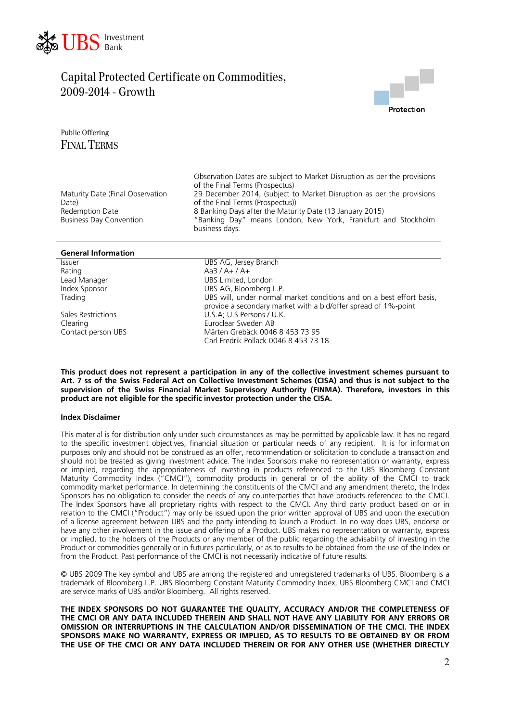



Public Offering FINAL TERMS

|                                                   | Observation Dates are subject to Market Disruption as per the provisions<br>of the Final Terms (Prospectus)                                 |
|---------------------------------------------------|---------------------------------------------------------------------------------------------------------------------------------------------|
| Maturity Date (Final Observation<br>Date)         | 29 December 2014, (subject to Market Disruption as per the provisions<br>of the Final Terms (Prospectus))                                   |
| Redemption Date<br><b>Business Day Convention</b> | 8 Banking Days after the Maturity Date (13 January 2015)<br>"Banking Day" means London, New York, Frankfurt and Stockholm<br>business days. |
|                                                   |                                                                                                                                             |

| <b>General Information</b> |                                                                                                                                        |
|----------------------------|----------------------------------------------------------------------------------------------------------------------------------------|
| <b>Issuer</b>              | UBS AG, Jersey Branch                                                                                                                  |
| Rating                     | $Aa3/A+/A+$                                                                                                                            |
| Lead Manager               | UBS Limited, London                                                                                                                    |
| Index Sponsor              | UBS AG, Bloomberg L.P.                                                                                                                 |
| Trading                    | UBS will, under normal market conditions and on a best effort basis,<br>provide a secondary market with a bid/offer spread of 1%-point |
| Sales Restrictions         | U.S.A; U.S Persons / U.K.                                                                                                              |
| Clearing                   | Euroclear Sweden AB                                                                                                                    |
| Contact person UBS         | Mårten Grebäck 0046 8 453 73 95<br>Carl Fredrik Pollack 0046 8 453 73 18                                                               |

**This product does not represent a participation in any of the collective investment schemes pursuant to Art. 7 ss of the Swiss Federal Act on Collective Investment Schemes (CISA) and thus is not subject to the supervision of the Swiss Financial Market Supervisory Authority (FINMA). Therefore, investors in this product are not eligible for the specific investor protection under the CISA.** 

#### **Index Disclaimer**

This material is for distribution only under such circumstances as may be permitted by applicable law. It has no regard to the specific investment objectives, financial situation or particular needs of any recipient. It is for information purposes only and should not be construed as an offer, recommendation or solicitation to conclude a transaction and should not be treated as giving investment advice. The Index Sponsors make no representation or warranty, express or implied, regarding the appropriateness of investing in products referenced to the UBS Bloomberg Constant Maturity Commodity Index ("CMCI"), commodity products in general or of the ability of the CMCI to track commodity market performance. In determining the constituents of the CMCI and any amendment thereto, the Index Sponsors has no obligation to consider the needs of any counterparties that have products referenced to the CMCI. The Index Sponsors have all proprietary rights with respect to the CMCI. Any third party product based on or in relation to the CMCI ("Product") may only be issued upon the prior written approval of UBS and upon the execution of a license agreement between UBS and the party intending to launch a Product. In no way does UBS, endorse or have any other involvement in the issue and offering of a Product. UBS makes no representation or warranty, express or implied, to the holders of the Products or any member of the public regarding the advisability of investing in the Product or commodities generally or in futures particularly, or as to results to be obtained from the use of the Index or from the Product. Past performance of the CMCI is not necessarily indicative of future results.

© UBS 2009 The key symbol and UBS are among the registered and unregistered trademarks of UBS. Bloomberg is a trademark of Bloomberg L.P. UBS Bloomberg Constant Maturity Commodity Index, UBS Bloomberg CMCI and CMCI are service marks of UBS and/or Bloomberg. All rights reserved.

**THE INDEX SPONSORS DO NOT GUARANTEE THE QUALITY, ACCURACY AND/OR THE COMPLETENESS OF THE CMCI OR ANY DATA INCLUDED THEREIN AND SHALL NOT HAVE ANY LIABILITY FOR ANY ERRORS OR OMISSION OR INTERRUPTIONS IN THE CALCULATION AND/OR DISSEMINATION OF THE CMCI. THE INDEX SPONSORS MAKE NO WARRANTY, EXPRESS OR IMPLIED, AS TO RESULTS TO BE OBTAINED BY OR FROM THE USE OF THE CMCI OR ANY DATA INCLUDED THEREIN OR FOR ANY OTHER USE (WHETHER DIRECTLY**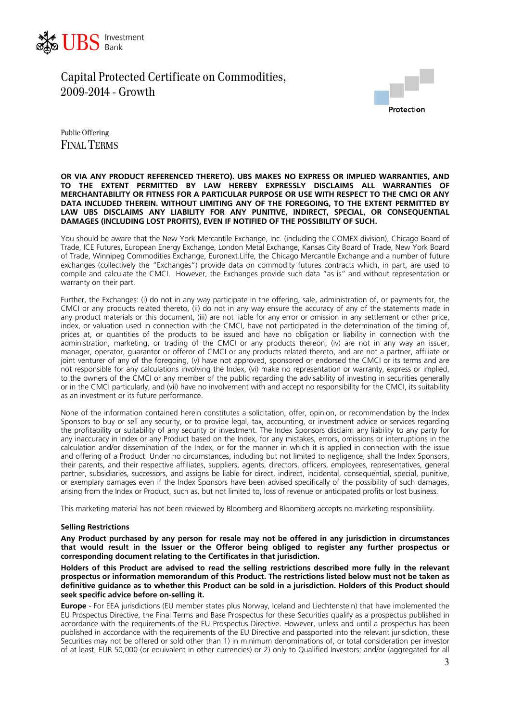



Public Offering FINAL TERMS

#### **OR VIA ANY PRODUCT REFERENCED THERETO). UBS MAKES NO EXPRESS OR IMPLIED WARRANTIES, AND TO THE EXTENT PERMITTED BY LAW HEREBY EXPRESSLY DISCLAIMS ALL WARRANTIES OF MERCHANTABILITY OR FITNESS FOR A PARTICULAR PURPOSE OR USE WITH RESPECT TO THE CMCI OR ANY DATA INCLUDED THEREIN. WITHOUT LIMITING ANY OF THE FOREGOING, TO THE EXTENT PERMITTED BY LAW UBS DISCLAIMS ANY LIABILITY FOR ANY PUNITIVE, INDIRECT, SPECIAL, OR CONSEQUENTIAL DAMAGES (INCLUDING LOST PROFITS), EVEN IF NOTIFIED OF THE POSSIBILITY OF SUCH.**

You should be aware that the New York Mercantile Exchange, Inc. (including the COMEX division), Chicago Board of Trade, ICE Futures, European Energy Exchange, London Metal Exchange, Kansas City Board of Trade, New York Board of Trade, Winnipeg Commodities Exchange, Euronext.Liffe, the Chicago Mercantile Exchange and a number of future exchanges (collectively the "Exchanges") provide data on commodity futures contracts which, in part, are used to compile and calculate the CMCI. However, the Exchanges provide such data "as is" and without representation or warranty on their part.

Further, the Exchanges: (i) do not in any way participate in the offering, sale, administration of, or payments for, the CMCI or any products related thereto, (ii) do not in any way ensure the accuracy of any of the statements made in any product materials or this document, (iii) are not liable for any error or omission in any settlement or other price, index, or valuation used in connection with the CMCI, have not participated in the determination of the timing of, prices at, or quantities of the products to be issued and have no obligation or liability in connection with the administration, marketing, or trading of the CMCI or any products thereon, (iv) are not in any way an issuer, manager, operator, guarantor or offeror of CMCI or any products related thereto, and are not a partner, affiliate or joint venturer of any of the foregoing, (v) have not approved, sponsored or endorsed the CMCI or its terms and are not responsible for any calculations involving the Index, (vi) make no representation or warranty, express or implied, to the owners of the CMCI or any member of the public regarding the advisability of investing in securities generally or in the CMCI particularly, and (vii) have no involvement with and accept no responsibility for the CMCI, its suitability as an investment or its future performance.

None of the information contained herein constitutes a solicitation, offer, opinion, or recommendation by the Index Sponsors to buy or sell any security, or to provide legal, tax, accounting, or investment advice or services regarding the profitability or suitability of any security or investment. The Index Sponsors disclaim any liability to any party for any inaccuracy in Index or any Product based on the Index, for any mistakes, errors, omissions or interruptions in the calculation and/or dissemination of the Index, or for the manner in which it is applied in connection with the issue and offering of a Product. Under no circumstances, including but not limited to negligence, shall the Index Sponsors, their parents, and their respective affiliates, suppliers, agents, directors, officers, employees, representatives, general partner, subsidiaries, successors, and assigns be liable for direct, indirect, incidental, consequential, special, punitive, or exemplary damages even if the Index Sponsors have been advised specifically of the possibility of such damages, arising from the Index or Product, such as, but not limited to, loss of revenue or anticipated profits or lost business.

This marketing material has not been reviewed by Bloomberg and Bloomberg accepts no marketing responsibility.

#### **Selling Restrictions**

**Any Product purchased by any person for resale may not be offered in any jurisdiction in circumstances that would result in the Issuer or the Offeror being obliged to register any further prospectus or corresponding document relating to the Certificates in that jurisdiction.** 

**Holders of this Product are advised to read the selling restrictions described more fully in the relevant prospectus or information memorandum of this Product. The restrictions listed below must not be taken as definitive guidance as to whether this Product can be sold in a jurisdiction. Holders of this Product should seek specific advice before on-selling it.**

**Europe** - For EEA jurisdictions (EU member states plus Norway, Iceland and Liechtenstein) that have implemented the EU Prospectus Directive, the Final Terms and Base Prospectus for these Securities qualify as a prospectus published in accordance with the requirements of the EU Prospectus Directive. However, unless and until a prospectus has been published in accordance with the requirements of the EU Directive and passported into the relevant jurisdiction, these Securities may not be offered or sold other than 1) in minimum denominations of, or total consideration per investor of at least, EUR 50,000 (or equivalent in other currencies) or 2) only to Qualified Investors; and/or (aggregated for all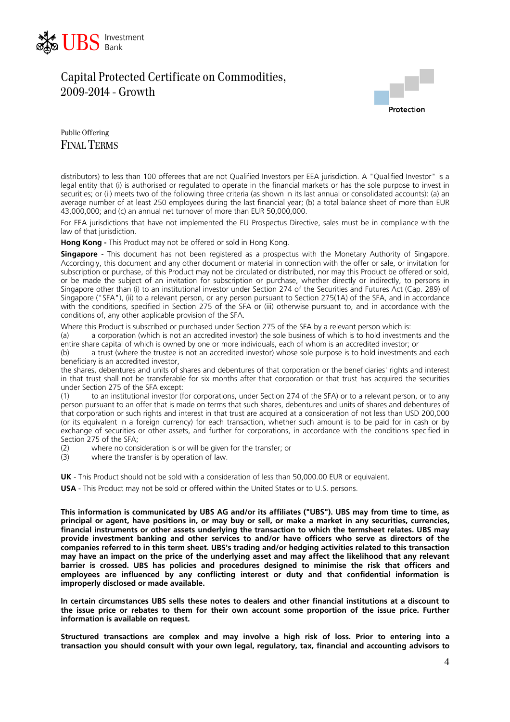



Public Offering FINAL TERMS

distributors) to less than 100 offerees that are not Qualified Investors per EEA jurisdiction. A "Qualified Investor" is a legal entity that (i) is authorised or regulated to operate in the financial markets or has the sole purpose to invest in securities; or (ii) meets two of the following three criteria (as shown in its last annual or consolidated accounts): (a) an average number of at least 250 employees during the last financial year; (b) a total balance sheet of more than EUR 43,000,000; and (c) an annual net turnover of more than EUR 50,000,000.

For EEA jurisdictions that have not implemented the EU Prospectus Directive, sales must be in compliance with the law of that jurisdiction.

**Hong Kong -** This Product may not be offered or sold in Hong Kong.

**Singapore** - This document has not been registered as a prospectus with the Monetary Authority of Singapore. Accordingly, this document and any other document or material in connection with the offer or sale, or invitation for subscription or purchase, of this Product may not be circulated or distributed, nor may this Product be offered or sold, or be made the subject of an invitation for subscription or purchase, whether directly or indirectly, to persons in Singapore other than (i) to an institutional investor under Section 274 of the Securities and Futures Act (Cap. 289) of Singapore ("SFA"), (ii) to a relevant person, or any person pursuant to Section 275(1A) of the SFA, and in accordance with the conditions, specified in Section 275 of the SFA or (iii) otherwise pursuant to, and in accordance with the conditions of, any other applicable provision of the SFA.

Where this Product is subscribed or purchased under Section 275 of the SFA by a relevant person which is:

(a) a corporation (which is not an accredited investor) the sole business of which is to hold investments and the entire share capital of which is owned by one or more individuals, each of whom is an accredited investor; or

(b) a trust (where the trustee is not an accredited investor) whose sole purpose is to hold investments and each beneficiary is an accredited investor,

the shares, debentures and units of shares and debentures of that corporation or the beneficiaries' rights and interest in that trust shall not be transferable for six months after that corporation or that trust has acquired the securities under Section 275 of the SFA except:

(1) to an institutional investor (for corporations, under Section 274 of the SFA) or to a relevant person, or to any person pursuant to an offer that is made on terms that such shares, debentures and units of shares and debentures of that corporation or such rights and interest in that trust are acquired at a consideration of not less than USD 200,000 (or its equivalent in a foreign currency) for each transaction, whether such amount is to be paid for in cash or by exchange of securities or other assets, and further for corporations, in accordance with the conditions specified in

Section 275 of the SFA;<br>(2) where no cons where no consideration is or will be given for the transfer; or

(3) where the transfer is by operation of law.

**UK** - This Product should not be sold with a consideration of less than 50,000.00 EUR or equivalent.

**USA** - This Product may not be sold or offered within the United States or to U.S. persons.

**This information is communicated by UBS AG and/or its affiliates ("UBS"). UBS may from time to time, as principal or agent, have positions in, or may buy or sell, or make a market in any securities, currencies, financial instruments or other assets underlying the transaction to which the termsheet relates. UBS may provide investment banking and other services to and/or have officers who serve as directors of the companies referred to in this term sheet. UBS's trading and/or hedging activities related to this transaction may have an impact on the price of the underlying asset and may affect the likelihood that any relevant barrier is crossed. UBS has policies and procedures designed to minimise the risk that officers and employees are influenced by any conflicting interest or duty and that confidential information is improperly disclosed or made available.** 

**In certain circumstances UBS sells these notes to dealers and other financial institutions at a discount to the issue price or rebates to them for their own account some proportion of the issue price. Further information is available on request.** 

**Structured transactions are complex and may involve a high risk of loss. Prior to entering into a transaction you should consult with your own legal, regulatory, tax, financial and accounting advisors to**